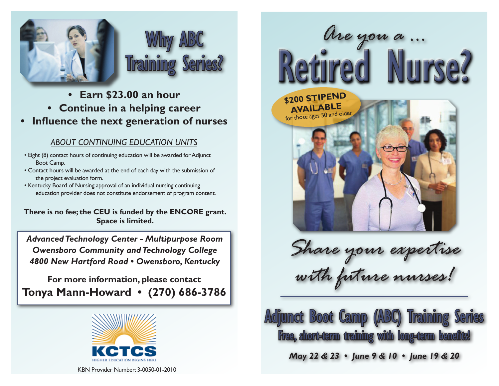

- **• Earn \$23.00 an hour**
- **• Continue in a helping career**
- **• Influence the next generation of nurses**

### *ABOUT CONTINUING EDUCATION UNITS*

- Eight (8) contact hours of continuing education will be awarded for Adjunct Boot Camp.
- Contact hours will be awarded at the end of each day with the submission of the project evaluation form.
- Kentucky Board of Nursing approval of an individual nursing continuing education provider does not constitute endorsement of program content.

**There is no fee; the CEU is funded by the ENCORE grant. Space is limited.**

*Advanced Technology Center - Multipurpose Room Owensboro Community and Technology College 4800 New Hartford Road • Owensboro, Kentucky*

**For more information, please contact Tonya Mann-Howard • (270) 686-3786**



KBN Provider Number: 3-0050-01-2010



*Share your expertise with future nurses!*



*May 22 & 23 • June 9 & 10 • June 19 & 20*